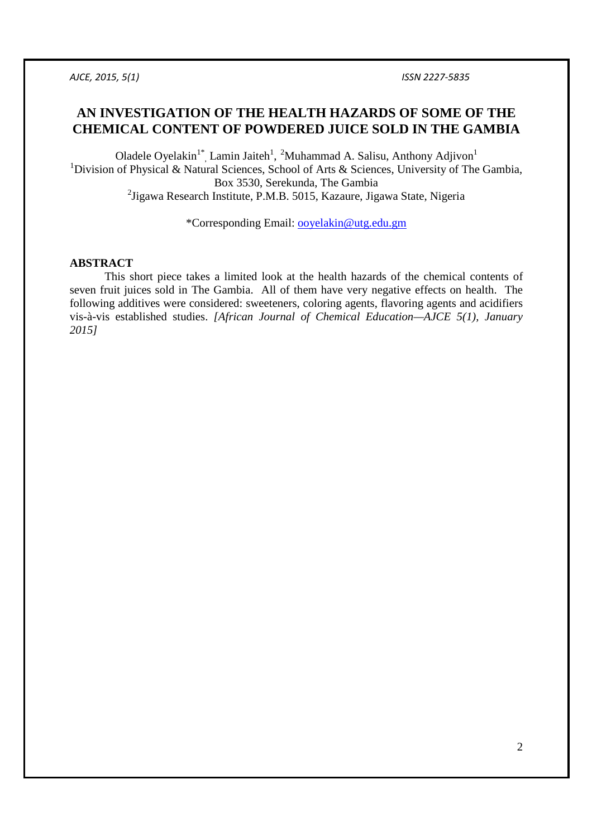# **AN INVESTIGATION OF THE HEALTH HAZARDS OF SOME OF THE CHEMICAL CONTENT OF POWDERED JUICE SOLD IN THE GAMBIA**

Oladele Oyelakin<sup>1\*</sup>, Lamin Jaiteh<sup>1</sup>, <sup>2</sup>Muhammad A. Salisu, Anthony Adjivon<sup>1</sup> <sup>1</sup>Division of Physical & Natural Sciences, School of Arts & Sciences, University of The Gambia, Box 3530, Serekunda, The Gambia <sup>2</sup>Jigawa Research Institute, P.M.B. 5015, Kazaure, Jigawa State, Nigeria

\*Corresponding Email: ooyelakin@utg.edu.gm

#### **ABSTRACT**

This short piece takes a limited look at the health hazards of the chemical contents of seven fruit juices sold in The Gambia. All of them have very negative effects on health. The following additives were considered: sweeteners, coloring agents, flavoring agents and acidifiers vis-à-vis established studies. *[African Journal of Chemical Education—AJCE 5(1), January 2015]*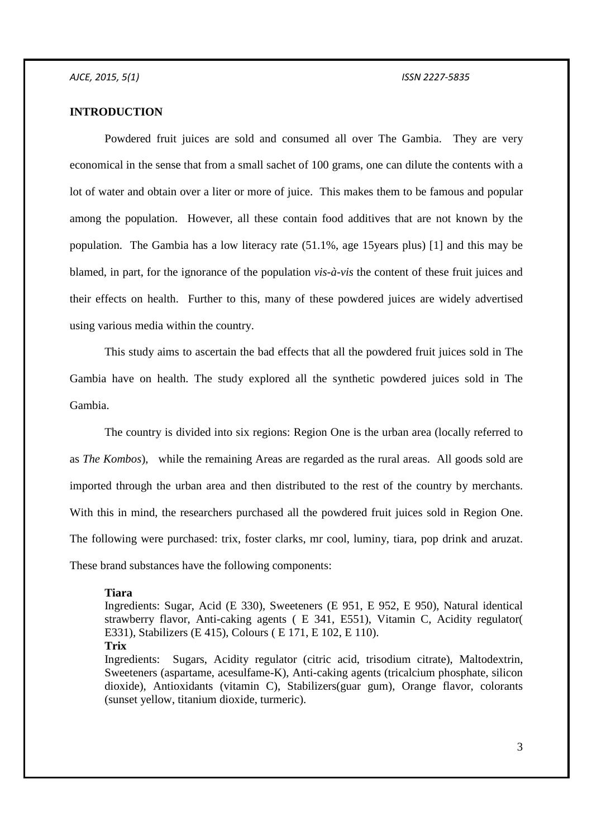## **INTRODUCTION**

Powdered fruit juices are sold and consumed all over The Gambia. They are very economical in the sense that from a small sachet of 100 grams, one can dilute the contents with a lot of water and obtain over a liter or more of juice. This makes them to be famous and popular among the population. However, all these contain food additives that are not known by the population. The Gambia has a low literacy rate (51.1%, age 15years plus) [1] and this may be blamed, in part, for the ignorance of the population *vis-à-vis* the content of these fruit juices and their effects on health. Further to this, many of these powdered juices are widely advertised using various media within the country.

This study aims to ascertain the bad effects that all the powdered fruit juices sold in The Gambia have on health. The study explored all the synthetic powdered juices sold in The Gambia.

The country is divided into six regions: Region One is the urban area (locally referred to as *The Kombos*), while the remaining Areas are regarded as the rural areas. All goods sold are imported through the urban area and then distributed to the rest of the country by merchants. With this in mind, the researchers purchased all the powdered fruit juices sold in Region One. The following were purchased: trix, foster clarks, mr cool, luminy, tiara, pop drink and aruzat. These brand substances have the following components:

### **Tiara**

Ingredients: Sugar, Acid (E 330), Sweeteners (E 951, E 952, E 950), Natural identical strawberry flavor, Anti-caking agents ( E 341, E551), Vitamin C, Acidity regulator( E331), Stabilizers (E 415), Colours ( E 171, E 102, E 110). **Trix** 

Ingredients: Sugars, Acidity regulator (citric acid, trisodium citrate), Maltodextrin, Sweeteners (aspartame, acesulfame-K), Anti-caking agents (tricalcium phosphate, silicon dioxide), Antioxidants (vitamin C), Stabilizers(guar gum), Orange flavor, colorants (sunset yellow, titanium dioxide, turmeric).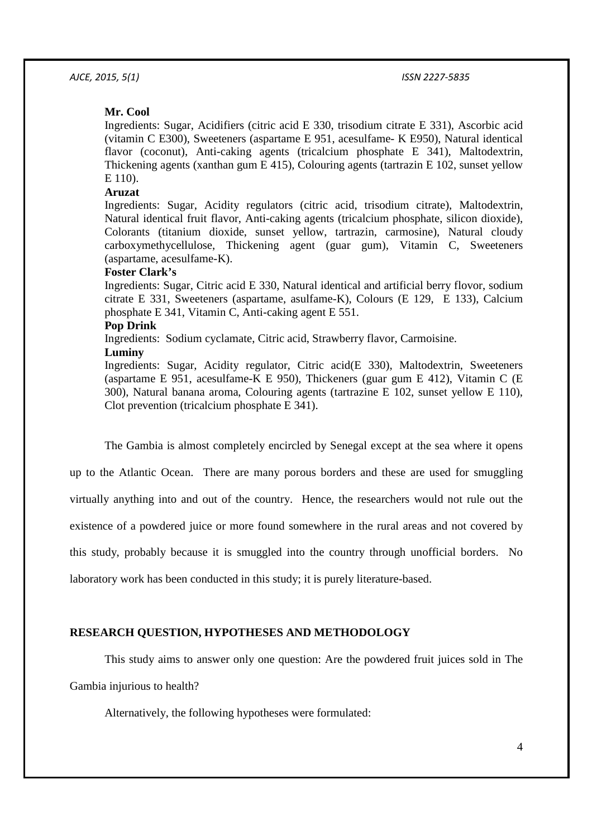#### **Mr. Cool**

Ingredients: Sugar, Acidifiers (citric acid E 330, trisodium citrate E 331), Ascorbic acid (vitamin C E300), Sweeteners (aspartame E 951, acesulfame- K E950), Natural identical flavor (coconut), Anti-caking agents (tricalcium phosphate E 341), Maltodextrin, Thickening agents (xanthan gum E 415), Colouring agents (tartrazin E 102, sunset yellow E 110).

## **Aruzat**

Ingredients: Sugar, Acidity regulators (citric acid, trisodium citrate), Maltodextrin, Natural identical fruit flavor, Anti-caking agents (tricalcium phosphate, silicon dioxide), Colorants (titanium dioxide, sunset yellow, tartrazin, carmosine), Natural cloudy carboxymethycellulose, Thickening agent (guar gum), Vitamin C, Sweeteners (aspartame, acesulfame-K).

### **Foster Clark's**

Ingredients: Sugar, Citric acid E 330, Natural identical and artificial berry flovor, sodium citrate E 331, Sweeteners (aspartame, asulfame-K), Colours (E 129, E 133), Calcium phosphate E 341, Vitamin C, Anti-caking agent E 551.

#### **Pop Drink**

Ingredients: Sodium cyclamate, Citric acid, Strawberry flavor, Carmoisine.

#### **Luminy**

Ingredients: Sugar, Acidity regulator, Citric acid(E 330), Maltodextrin, Sweeteners (aspartame E 951, acesulfame-K E 950), Thickeners (guar gum E 412), Vitamin C (E 300), Natural banana aroma, Colouring agents (tartrazine E 102, sunset yellow E 110), Clot prevention (tricalcium phosphate E 341).

The Gambia is almost completely encircled by Senegal except at the sea where it opens

up to the Atlantic Ocean. There are many porous borders and these are used for smuggling

virtually anything into and out of the country. Hence, the researchers would not rule out the

existence of a powdered juice or more found somewhere in the rural areas and not covered by

this study, probably because it is smuggled into the country through unofficial borders. No

laboratory work has been conducted in this study; it is purely literature-based.

#### **RESEARCH QUESTION, HYPOTHESES AND METHODOLOGY**

This study aims to answer only one question: Are the powdered fruit juices sold in The

Gambia injurious to health?

Alternatively, the following hypotheses were formulated: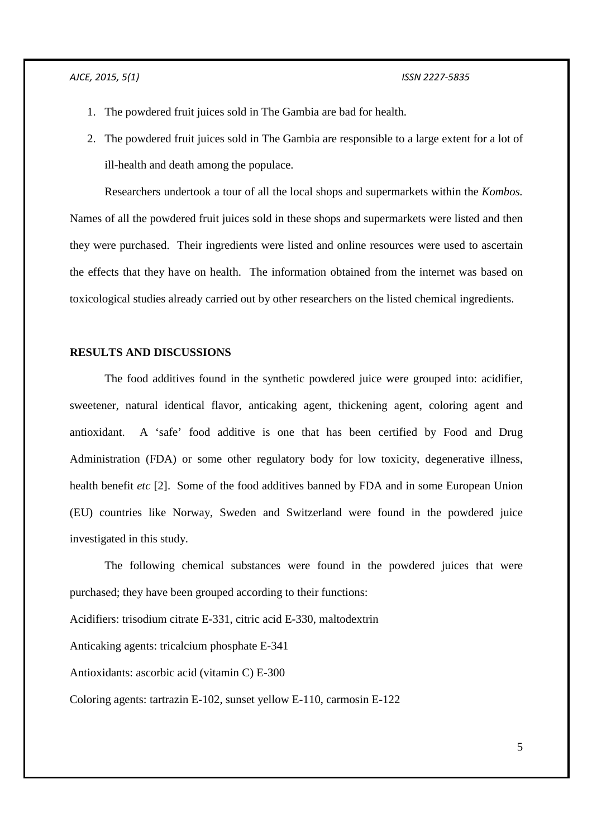- 1. The powdered fruit juices sold in The Gambia are bad for health.
- 2. The powdered fruit juices sold in The Gambia are responsible to a large extent for a lot of ill-health and death among the populace.

Researchers undertook a tour of all the local shops and supermarkets within the *Kombos.*  Names of all the powdered fruit juices sold in these shops and supermarkets were listed and then they were purchased. Their ingredients were listed and online resources were used to ascertain the effects that they have on health. The information obtained from the internet was based on toxicological studies already carried out by other researchers on the listed chemical ingredients.

#### **RESULTS AND DISCUSSIONS**

The food additives found in the synthetic powdered juice were grouped into: acidifier, sweetener, natural identical flavor, anticaking agent, thickening agent, coloring agent and antioxidant. A 'safe' food additive is one that has been certified by Food and Drug Administration (FDA) or some other regulatory body for low toxicity, degenerative illness, health benefit *etc* [2]. Some of the food additives banned by FDA and in some European Union (EU) countries like Norway, Sweden and Switzerland were found in the powdered juice investigated in this study.

The following chemical substances were found in the powdered juices that were purchased; they have been grouped according to their functions:

Acidifiers: trisodium citrate E-331, citric acid E-330, maltodextrin

Anticaking agents: tricalcium phosphate E-341

Antioxidants: ascorbic acid (vitamin C) E-300

Coloring agents: tartrazin E-102, sunset yellow E-110, carmosin E-122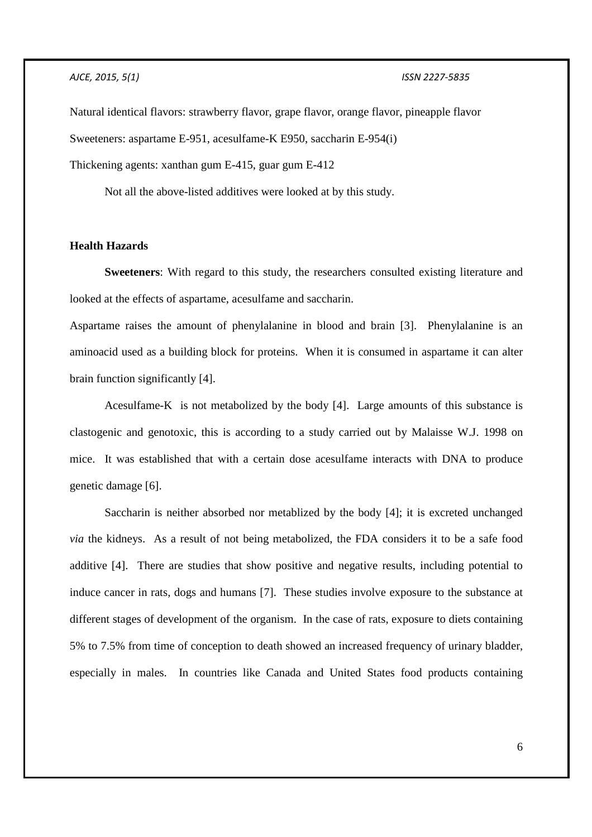Natural identical flavors: strawberry flavor, grape flavor, orange flavor, pineapple flavor Sweeteners: aspartame E-951, acesulfame-K E950, saccharin E-954(i) Thickening agents: xanthan gum E-415, guar gum E-412

Not all the above-listed additives were looked at by this study.

## **Health Hazards**

**Sweeteners**: With regard to this study, the researchers consulted existing literature and looked at the effects of aspartame, acesulfame and saccharin.

Aspartame raises the amount of phenylalanine in blood and brain [3]. Phenylalanine is an aminoacid used as a building block for proteins. When it is consumed in aspartame it can alter brain function significantly [4].

Acesulfame-K is not metabolized by the body [4]. Large amounts of this substance is clastogenic and genotoxic, this is according to a study carried out by Malaisse W.J. 1998 on mice. It was established that with a certain dose acesulfame interacts with DNA to produce genetic damage [6].

Saccharin is neither absorbed nor metablized by the body [4]; it is excreted unchanged *via* the kidneys. As a result of not being metabolized, the FDA considers it to be a safe food additive [4]. There are studies that show positive and negative results, including potential to induce cancer in rats, dogs and humans [7]. These studies involve exposure to the substance at different stages of development of the organism. In the case of rats, exposure to diets containing 5% to 7.5% from time of conception to death showed an increased frequency of urinary bladder, especially in males. In countries like Canada and United States food products containing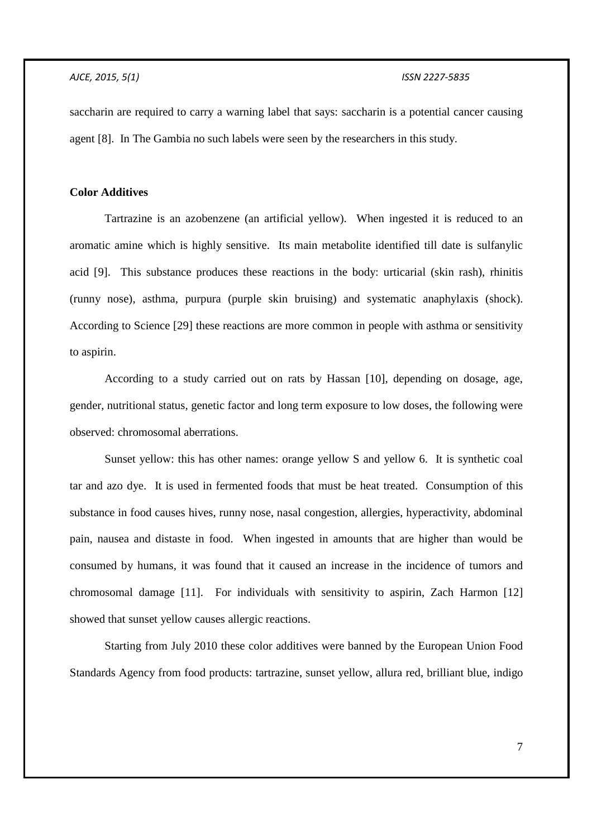saccharin are required to carry a warning label that says: saccharin is a potential cancer causing agent [8]. In The Gambia no such labels were seen by the researchers in this study.

## **Color Additives**

Tartrazine is an azobenzene (an artificial yellow). When ingested it is reduced to an aromatic amine which is highly sensitive. Its main metabolite identified till date is sulfanylic acid [9]. This substance produces these reactions in the body: urticarial (skin rash), rhinitis (runny nose), asthma, purpura (purple skin bruising) and systematic anaphylaxis (shock). According to Science [29] these reactions are more common in people with asthma or sensitivity to aspirin.

According to a study carried out on rats by Hassan [10], depending on dosage, age, gender, nutritional status, genetic factor and long term exposure to low doses, the following were observed: chromosomal aberrations.

Sunset yellow: this has other names: orange yellow S and yellow 6. It is synthetic coal tar and azo dye. It is used in fermented foods that must be heat treated. Consumption of this substance in food causes hives, runny nose, nasal congestion, allergies, hyperactivity, abdominal pain, nausea and distaste in food. When ingested in amounts that are higher than would be consumed by humans, it was found that it caused an increase in the incidence of tumors and chromosomal damage [11]. For individuals with sensitivity to aspirin, Zach Harmon [12] showed that sunset yellow causes allergic reactions.

Starting from July 2010 these color additives were banned by the European Union Food Standards Agency from food products: tartrazine, sunset yellow, allura red, brilliant blue, indigo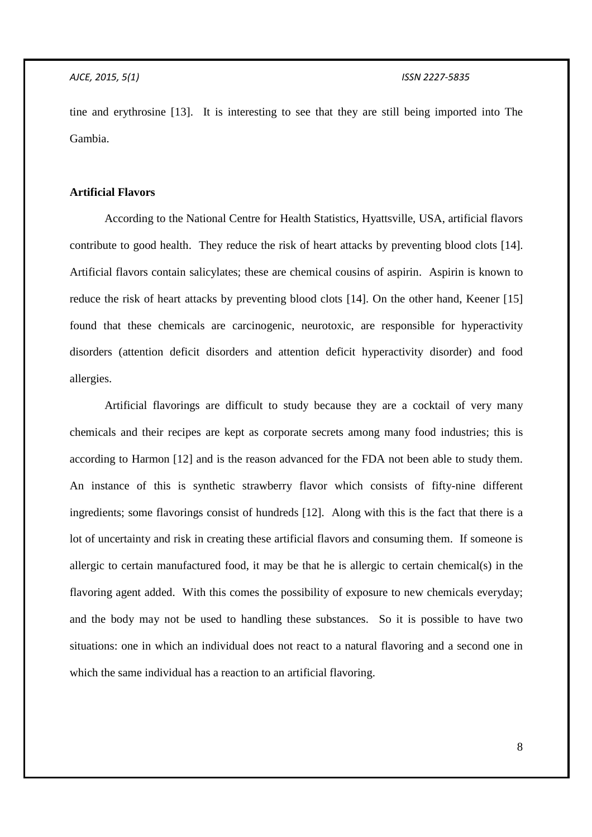tine and erythrosine [13]. It is interesting to see that they are still being imported into The Gambia.

## **Artificial Flavors**

According to the National Centre for Health Statistics, Hyattsville, USA, artificial flavors contribute to good health. They reduce the risk of heart attacks by preventing blood clots [14]. Artificial flavors contain salicylates; these are chemical cousins of aspirin. Aspirin is known to reduce the risk of heart attacks by preventing blood clots [14]. On the other hand, Keener [15] found that these chemicals are carcinogenic, neurotoxic, are responsible for hyperactivity disorders (attention deficit disorders and attention deficit hyperactivity disorder) and food allergies.

Artificial flavorings are difficult to study because they are a cocktail of very many chemicals and their recipes are kept as corporate secrets among many food industries; this is according to Harmon [12] and is the reason advanced for the FDA not been able to study them. An instance of this is synthetic strawberry flavor which consists of fifty-nine different ingredients; some flavorings consist of hundreds [12]. Along with this is the fact that there is a lot of uncertainty and risk in creating these artificial flavors and consuming them. If someone is allergic to certain manufactured food, it may be that he is allergic to certain chemical(s) in the flavoring agent added. With this comes the possibility of exposure to new chemicals everyday; and the body may not be used to handling these substances. So it is possible to have two situations: one in which an individual does not react to a natural flavoring and a second one in which the same individual has a reaction to an artificial flavoring.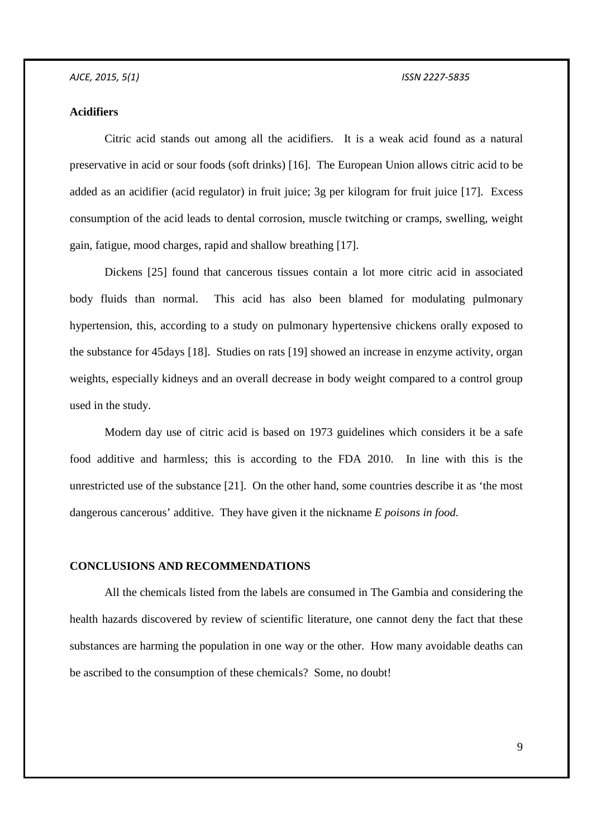## **Acidifiers**

Citric acid stands out among all the acidifiers. It is a weak acid found as a natural preservative in acid or sour foods (soft drinks) [16]. The European Union allows citric acid to be added as an acidifier (acid regulator) in fruit juice; 3g per kilogram for fruit juice [17]. Excess consumption of the acid leads to dental corrosion, muscle twitching or cramps, swelling, weight gain, fatigue, mood charges, rapid and shallow breathing [17].

Dickens [25] found that cancerous tissues contain a lot more citric acid in associated body fluids than normal. This acid has also been blamed for modulating pulmonary hypertension, this, according to a study on pulmonary hypertensive chickens orally exposed to the substance for 45days [18]. Studies on rats [19] showed an increase in enzyme activity, organ weights, especially kidneys and an overall decrease in body weight compared to a control group used in the study.

Modern day use of citric acid is based on 1973 guidelines which considers it be a safe food additive and harmless; this is according to the FDA 2010. In line with this is the unrestricted use of the substance [21]. On the other hand, some countries describe it as 'the most dangerous cancerous' additive. They have given it the nickname *E poisons in food*.

## **CONCLUSIONS AND RECOMMENDATIONS**

All the chemicals listed from the labels are consumed in The Gambia and considering the health hazards discovered by review of scientific literature, one cannot deny the fact that these substances are harming the population in one way or the other. How many avoidable deaths can be ascribed to the consumption of these chemicals? Some, no doubt!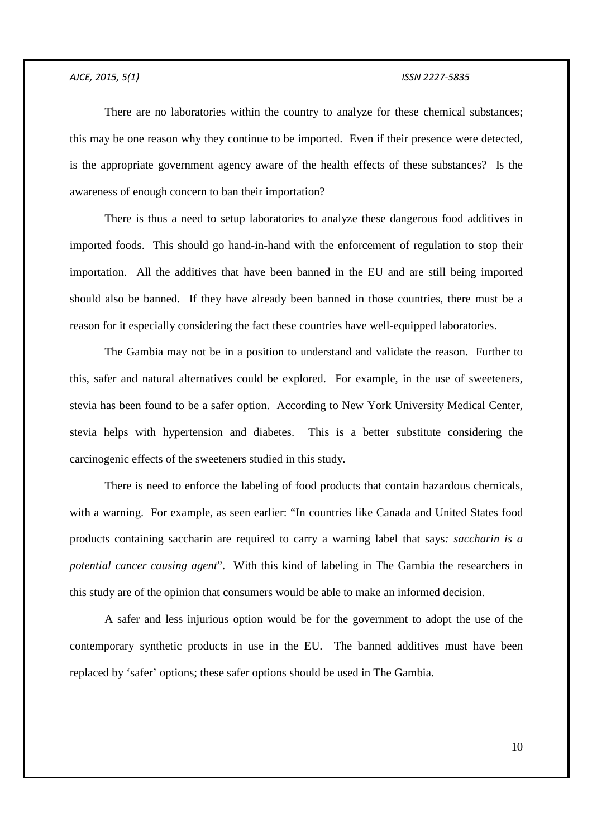There are no laboratories within the country to analyze for these chemical substances; this may be one reason why they continue to be imported. Even if their presence were detected, is the appropriate government agency aware of the health effects of these substances? Is the awareness of enough concern to ban their importation?

There is thus a need to setup laboratories to analyze these dangerous food additives in imported foods. This should go hand-in-hand with the enforcement of regulation to stop their importation. All the additives that have been banned in the EU and are still being imported should also be banned. If they have already been banned in those countries, there must be a reason for it especially considering the fact these countries have well-equipped laboratories.

The Gambia may not be in a position to understand and validate the reason. Further to this, safer and natural alternatives could be explored. For example, in the use of sweeteners, stevia has been found to be a safer option. According to New York University Medical Center, stevia helps with hypertension and diabetes. This is a better substitute considering the carcinogenic effects of the sweeteners studied in this study.

There is need to enforce the labeling of food products that contain hazardous chemicals, with a warning. For example, as seen earlier: "In countries like Canada and United States food products containing saccharin are required to carry a warning label that says*: saccharin is a potential cancer causing agent*". With this kind of labeling in The Gambia the researchers in this study are of the opinion that consumers would be able to make an informed decision.

A safer and less injurious option would be for the government to adopt the use of the contemporary synthetic products in use in the EU. The banned additives must have been replaced by 'safer' options; these safer options should be used in The Gambia.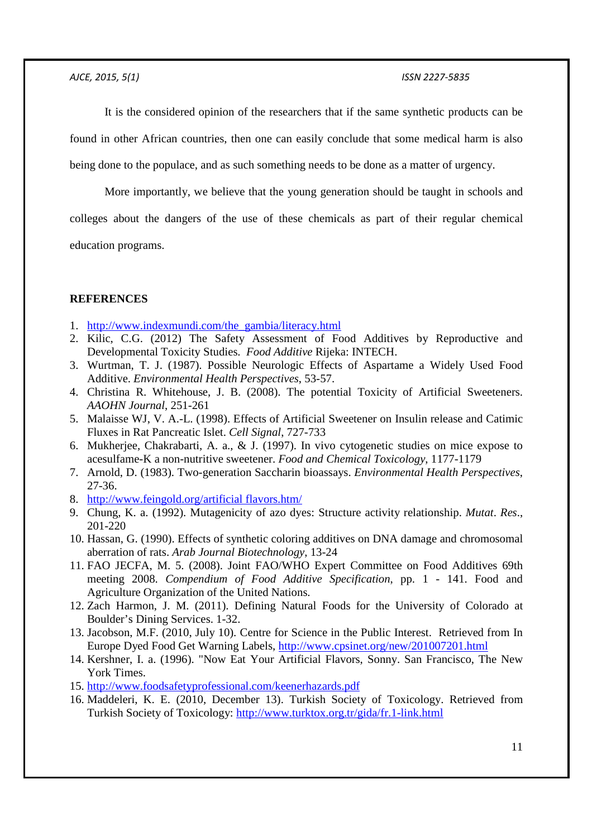It is the considered opinion of the researchers that if the same synthetic products can be

found in other African countries, then one can easily conclude that some medical harm is also

being done to the populace, and as such something needs to be done as a matter of urgency.

More importantly, we believe that the young generation should be taught in schools and

colleges about the dangers of the use of these chemicals as part of their regular chemical

education programs.

## **REFERENCES**

- 1. http://www.indexmundi.com/the\_gambia/literacy.html
- 2. Kilic, C.G. (2012) The Safety Assessment of Food Additives by Reproductive and Developmental Toxicity Studies. *Food Additive* Rijeka: INTECH.
- 3. Wurtman, T. J. (1987). Possible Neurologic Effects of Aspartame a Widely Used Food Additive. *Environmental Health Perspectives*, 53-57.
- 4. Christina R. Whitehouse, J. B. (2008). The potential Toxicity of Artificial Sweeteners. *AAOHN Journal*, 251-261
- 5. Malaisse WJ, V. A.-L. (1998). Effects of Artificial Sweetener on Insulin release and Catimic Fluxes in Rat Pancreatic Islet. *Cell Signal*, 727-733
- 6. Mukherjee, Chakrabarti, A. a., & J. (1997). In vivo cytogenetic studies on mice expose to acesulfame-K a non-nutritive sweetener. *Food and Chemical Toxicology*, 1177-1179
- 7. Arnold, D. (1983). Two-generation Saccharin bioassays. *Environmental Health Perspectives*, 27-36.
- 8. http://www.feingold.org/artificial flavors.htm/
- 9. Chung, K. a. (1992). Mutagenicity of azo dyes: Structure activity relationship. *Mutat*. *Res*., 201-220
- 10. Hassan, G. (1990). Effects of synthetic coloring additives on DNA damage and chromosomal aberration of rats. *Arab Journal Biotechnology*, 13-24
- 11. FAO JECFA, M. 5. (2008). Joint FAO/WHO Expert Committee on Food Additives 69th meeting 2008. *Compendium of Food Additive Specification*, pp. 1 - 141. Food and Agriculture Organization of the United Nations.
- 12. Zach Harmon, J. M. (2011). Defining Natural Foods for the University of Colorado at Boulder's Dining Services. 1-32.
- 13. Jacobson, M.F. (2010, July 10). Centre for Science in the Public Interest. Retrieved from In Europe Dyed Food Get Warning Labels, http://www.cpsinet.org/new/201007201.html
- 14. Kershner, I. a. (1996). "Now Eat Your Artificial Flavors, Sonny. San Francisco, The New York Times.
- 15. http://www.foodsafetyprofessional.com/keenerhazards.pdf
- 16. Maddeleri, K. E. (2010, December 13). Turkish Society of Toxicology. Retrieved from Turkish Society of Toxicology: http://www.turktox.org.tr/gida/fr.1-link.html